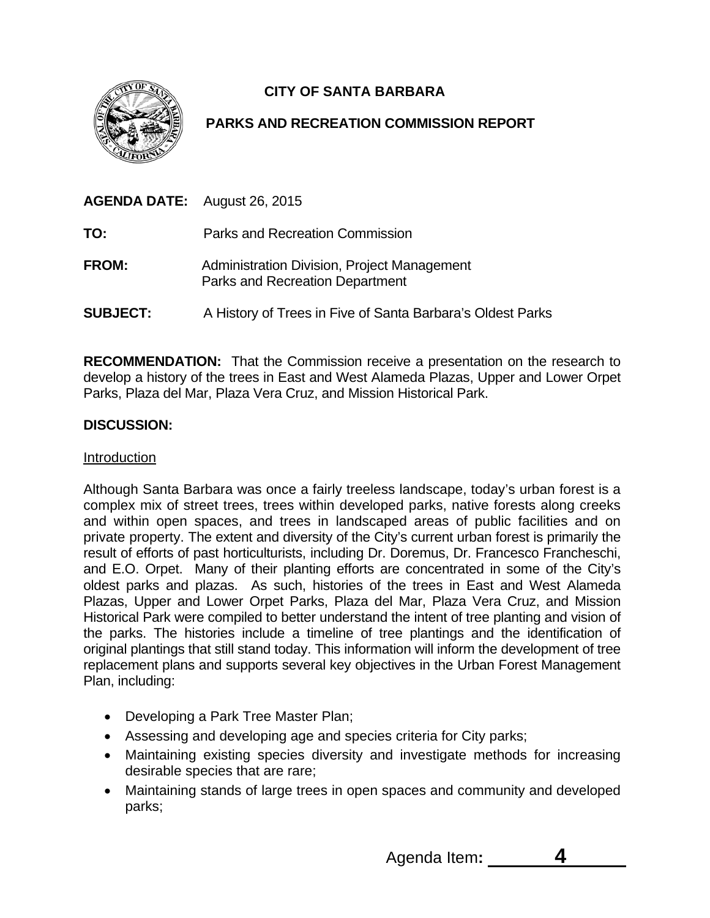

# **CITY OF SANTA BARBARA**

## **PARKS AND RECREATION COMMISSION REPORT**

| <b>AGENDA DATE:</b> August 26, 2015 |                                                                                |
|-------------------------------------|--------------------------------------------------------------------------------|
| TO:                                 | Parks and Recreation Commission                                                |
| <b>FROM:</b>                        | Administration Division, Project Management<br>Parks and Recreation Department |
| <b>SUBJECT:</b>                     | A History of Trees in Five of Santa Barbara's Oldest Parks                     |

**RECOMMENDATION:** That the Commission receive a presentation on the research to develop a history of the trees in East and West Alameda Plazas, Upper and Lower Orpet Parks, Plaza del Mar, Plaza Vera Cruz, and Mission Historical Park.

## **DISCUSSION:**

## Introduction

Although Santa Barbara was once a fairly treeless landscape, today's urban forest is a complex mix of street trees, trees within developed parks, native forests along creeks and within open spaces, and trees in landscaped areas of public facilities and on private property. The extent and diversity of the City's current urban forest is primarily the result of efforts of past horticulturists, including Dr. Doremus, Dr. Francesco Francheschi, and E.O. Orpet. Many of their planting efforts are concentrated in some of the City's oldest parks and plazas. As such, histories of the trees in East and West Alameda Plazas, Upper and Lower Orpet Parks, Plaza del Mar, Plaza Vera Cruz, and Mission Historical Park were compiled to better understand the intent of tree planting and vision of the parks. The histories include a timeline of tree plantings and the identification of original plantings that still stand today. This information will inform the development of tree replacement plans and supports several key objectives in the Urban Forest Management Plan, including:

- Developing a Park Tree Master Plan;
- Assessing and developing age and species criteria for City parks;
- Maintaining existing species diversity and investigate methods for increasing desirable species that are rare;
- Maintaining stands of large trees in open spaces and community and developed parks;

Agenda Item**: 4**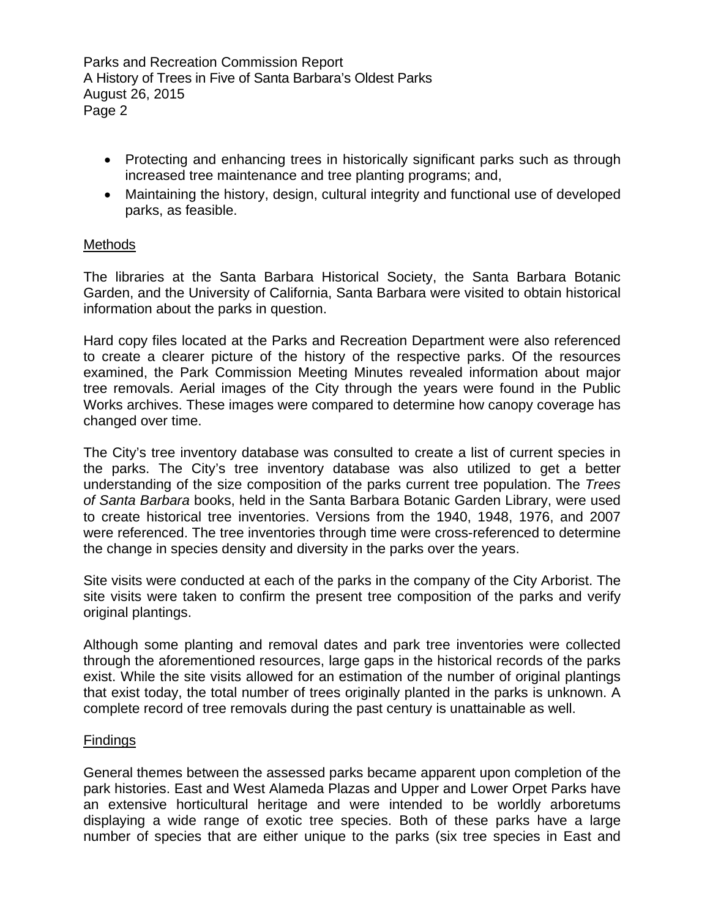- Protecting and enhancing trees in historically significant parks such as through increased tree maintenance and tree planting programs; and,
- Maintaining the history, design, cultural integrity and functional use of developed parks, as feasible.

## **Methods**

The libraries at the Santa Barbara Historical Society, the Santa Barbara Botanic Garden, and the University of California, Santa Barbara were visited to obtain historical information about the parks in question.

Hard copy files located at the Parks and Recreation Department were also referenced to create a clearer picture of the history of the respective parks. Of the resources examined, the Park Commission Meeting Minutes revealed information about major tree removals. Aerial images of the City through the years were found in the Public Works archives. These images were compared to determine how canopy coverage has changed over time.

The City's tree inventory database was consulted to create a list of current species in the parks. The City's tree inventory database was also utilized to get a better understanding of the size composition of the parks current tree population. The *Trees of Santa Barbara* books, held in the Santa Barbara Botanic Garden Library, were used to create historical tree inventories. Versions from the 1940, 1948, 1976, and 2007 were referenced. The tree inventories through time were cross-referenced to determine the change in species density and diversity in the parks over the years.

Site visits were conducted at each of the parks in the company of the City Arborist. The site visits were taken to confirm the present tree composition of the parks and verify original plantings.

Although some planting and removal dates and park tree inventories were collected through the aforementioned resources, large gaps in the historical records of the parks exist. While the site visits allowed for an estimation of the number of original plantings that exist today, the total number of trees originally planted in the parks is unknown. A complete record of tree removals during the past century is unattainable as well.

## **Findings**

General themes between the assessed parks became apparent upon completion of the park histories. East and West Alameda Plazas and Upper and Lower Orpet Parks have an extensive horticultural heritage and were intended to be worldly arboretums displaying a wide range of exotic tree species. Both of these parks have a large number of species that are either unique to the parks (six tree species in East and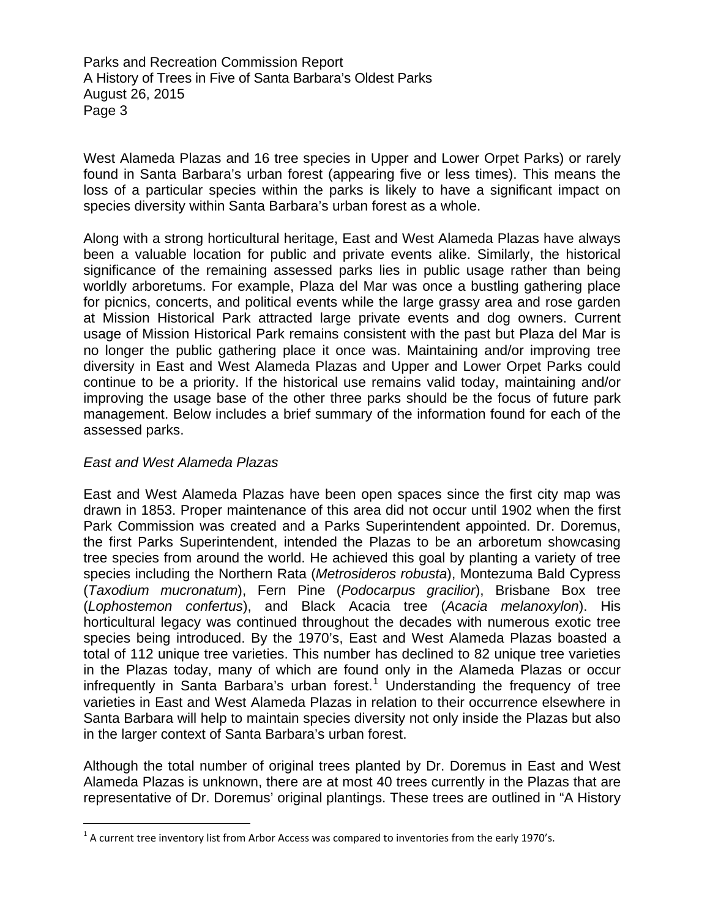West Alameda Plazas and 16 tree species in Upper and Lower Orpet Parks) or rarely found in Santa Barbara's urban forest (appearing five or less times). This means the loss of a particular species within the parks is likely to have a significant impact on species diversity within Santa Barbara's urban forest as a whole.

Along with a strong horticultural heritage, East and West Alameda Plazas have always been a valuable location for public and private events alike. Similarly, the historical significance of the remaining assessed parks lies in public usage rather than being worldly arboretums. For example, Plaza del Mar was once a bustling gathering place for picnics, concerts, and political events while the large grassy area and rose garden at Mission Historical Park attracted large private events and dog owners. Current usage of Mission Historical Park remains consistent with the past but Plaza del Mar is no longer the public gathering place it once was. Maintaining and/or improving tree diversity in East and West Alameda Plazas and Upper and Lower Orpet Parks could continue to be a priority. If the historical use remains valid today, maintaining and/or improving the usage base of the other three parks should be the focus of future park management. Below includes a brief summary of the information found for each of the assessed parks.

#### *East and West Alameda Plazas*

East and West Alameda Plazas have been open spaces since the first city map was drawn in 1853. Proper maintenance of this area did not occur until 1902 when the first Park Commission was created and a Parks Superintendent appointed. Dr. Doremus, the first Parks Superintendent, intended the Plazas to be an arboretum showcasing tree species from around the world. He achieved this goal by planting a variety of tree species including the Northern Rata (*Metrosideros robusta*), Montezuma Bald Cypress (*Taxodium mucronatum*), Fern Pine (*Podocarpus gracilior*), Brisbane Box tree (*Lophostemon confertus*), and Black Acacia tree (*Acacia melanoxylon*). His horticultural legacy was continued throughout the decades with numerous exotic tree species being introduced. By the 1970's, East and West Alameda Plazas boasted a total of 112 unique tree varieties. This number has declined to 82 unique tree varieties in the Plazas today, many of which are found only in the Alameda Plazas or occur infrequently in Santa Barbara's urban forest.<sup>[1](#page-2-0)</sup> Understanding the frequency of tree varieties in East and West Alameda Plazas in relation to their occurrence elsewhere in Santa Barbara will help to maintain species diversity not only inside the Plazas but also in the larger context of Santa Barbara's urban forest.

Although the total number of original trees planted by Dr. Doremus in East and West Alameda Plazas is unknown, there are at most 40 trees currently in the Plazas that are representative of Dr. Doremus' original plantings. These trees are outlined in "A History

<span id="page-2-0"></span> $\overline{1}$  $^1$  A current tree inventory list from Arbor Access was compared to inventories from the early 1970's.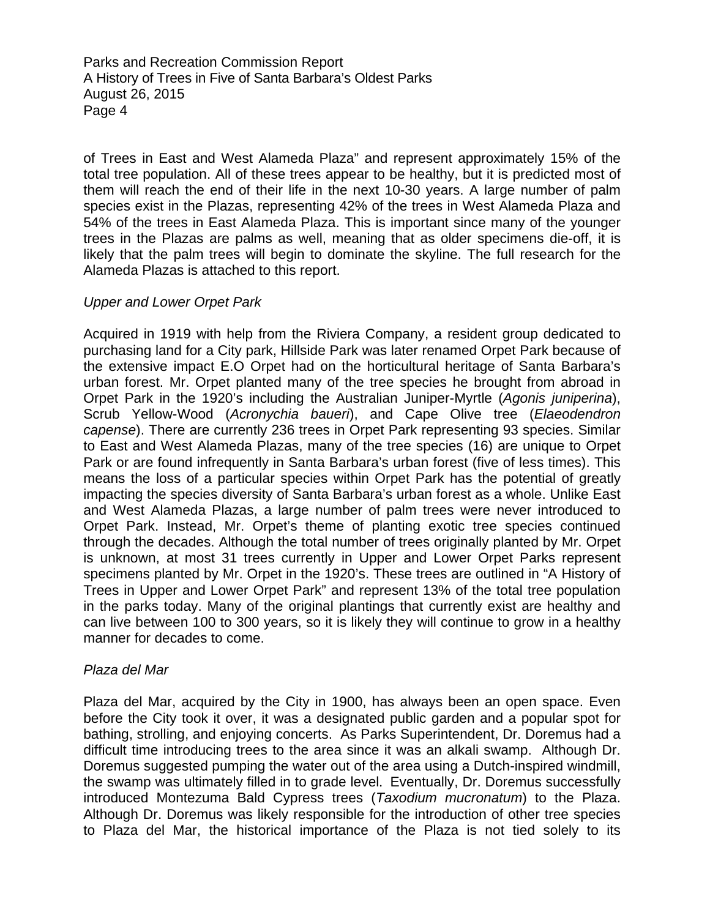of Trees in East and West Alameda Plaza" and represent approximately 15% of the total tree population. All of these trees appear to be healthy, but it is predicted most of them will reach the end of their life in the next 10-30 years. A large number of palm species exist in the Plazas, representing 42% of the trees in West Alameda Plaza and 54% of the trees in East Alameda Plaza. This is important since many of the younger trees in the Plazas are palms as well, meaning that as older specimens die-off, it is likely that the palm trees will begin to dominate the skyline. The full research for the Alameda Plazas is attached to this report.

#### *Upper and Lower Orpet Park*

Acquired in 1919 with help from the Riviera Company, a resident group dedicated to purchasing land for a City park, Hillside Park was later renamed Orpet Park because of the extensive impact E.O Orpet had on the horticultural heritage of Santa Barbara's urban forest. Mr. Orpet planted many of the tree species he brought from abroad in Orpet Park in the 1920's including the Australian Juniper-Myrtle (*Agonis juniperina*), Scrub Yellow-Wood (*Acronychia baueri*), and Cape Olive tree (*Elaeodendron capense*). There are currently 236 trees in Orpet Park representing 93 species. Similar to East and West Alameda Plazas, many of the tree species (16) are unique to Orpet Park or are found infrequently in Santa Barbara's urban forest (five of less times). This means the loss of a particular species within Orpet Park has the potential of greatly impacting the species diversity of Santa Barbara's urban forest as a whole. Unlike East and West Alameda Plazas, a large number of palm trees were never introduced to Orpet Park. Instead, Mr. Orpet's theme of planting exotic tree species continued through the decades. Although the total number of trees originally planted by Mr. Orpet is unknown, at most 31 trees currently in Upper and Lower Orpet Parks represent specimens planted by Mr. Orpet in the 1920's. These trees are outlined in "A History of Trees in Upper and Lower Orpet Park" and represent 13% of the total tree population in the parks today. Many of the original plantings that currently exist are healthy and can live between 100 to 300 years, so it is likely they will continue to grow in a healthy manner for decades to come.

#### *Plaza del Mar*

Plaza del Mar, acquired by the City in 1900, has always been an open space. Even before the City took it over, it was a designated public garden and a popular spot for bathing, strolling, and enjoying concerts. As Parks Superintendent, Dr. Doremus had a difficult time introducing trees to the area since it was an alkali swamp. Although Dr. Doremus suggested pumping the water out of the area using a Dutch-inspired windmill, the swamp was ultimately filled in to grade level. Eventually, Dr. Doremus successfully introduced Montezuma Bald Cypress trees (*Taxodium mucronatum*) to the Plaza. Although Dr. Doremus was likely responsible for the introduction of other tree species to Plaza del Mar, the historical importance of the Plaza is not tied solely to its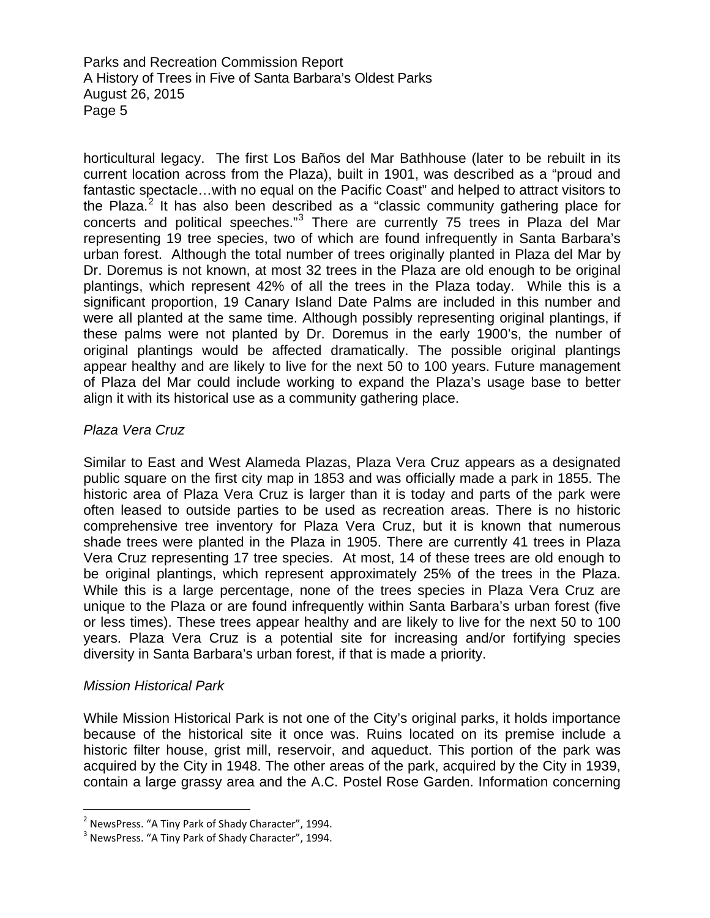horticultural legacy. The first Los Baños del Mar Bathhouse (later to be rebuilt in its current location across from the Plaza), built in 1901, was described as a "proud and fantastic spectacle…with no equal on the Pacific Coast" and helped to attract visitors to the Plaza.<sup>[2](#page-4-0)</sup> It has also been described as a "classic community gathering place for concerts and political speeches."[3](#page-4-1) There are currently 75 trees in Plaza del Mar representing 19 tree species, two of which are found infrequently in Santa Barbara's urban forest. Although the total number of trees originally planted in Plaza del Mar by Dr. Doremus is not known, at most 32 trees in the Plaza are old enough to be original plantings, which represent 42% of all the trees in the Plaza today. While this is a significant proportion, 19 Canary Island Date Palms are included in this number and were all planted at the same time. Although possibly representing original plantings, if these palms were not planted by Dr. Doremus in the early 1900's, the number of original plantings would be affected dramatically. The possible original plantings appear healthy and are likely to live for the next 50 to 100 years. Future management of Plaza del Mar could include working to expand the Plaza's usage base to better align it with its historical use as a community gathering place.

## *Plaza Vera Cruz*

Similar to East and West Alameda Plazas, Plaza Vera Cruz appears as a designated public square on the first city map in 1853 and was officially made a park in 1855. The historic area of Plaza Vera Cruz is larger than it is today and parts of the park were often leased to outside parties to be used as recreation areas. There is no historic comprehensive tree inventory for Plaza Vera Cruz, but it is known that numerous shade trees were planted in the Plaza in 1905. There are currently 41 trees in Plaza Vera Cruz representing 17 tree species. At most, 14 of these trees are old enough to be original plantings, which represent approximately 25% of the trees in the Plaza. While this is a large percentage, none of the trees species in Plaza Vera Cruz are unique to the Plaza or are found infrequently within Santa Barbara's urban forest (five or less times). These trees appear healthy and are likely to live for the next 50 to 100 years. Plaza Vera Cruz is a potential site for increasing and/or fortifying species diversity in Santa Barbara's urban forest, if that is made a priority.

## *Mission Historical Park*

While Mission Historical Park is not one of the City's original parks, it holds importance because of the historical site it once was. Ruins located on its premise include a historic filter house, grist mill, reservoir, and aqueduct. This portion of the park was acquired by the City in 1948. The other areas of the park, acquired by the City in 1939, contain a large grassy area and the A.C. Postel Rose Garden. Information concerning

<span id="page-4-0"></span> $\overline{a}$  $^2$  NewsPress. "A Tiny Park of Shady Character", 1994.

<span id="page-4-1"></span><sup>&</sup>lt;sup>3</sup> NewsPress. "A Tiny Park of Shady Character", 1994.